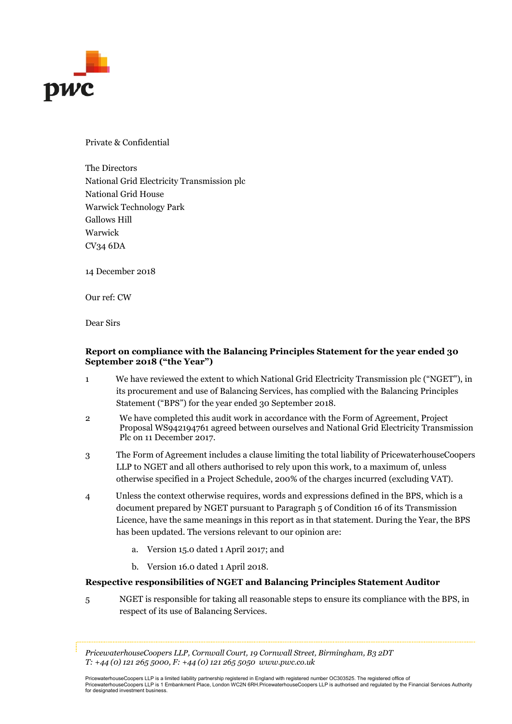

Private & Confidential

The Directors National Grid Electricity Transmission plc National Grid House Warwick Technology Park Gallows Hill Warwick CV34 6DA

14 December 2018

Our ref: CW

Dear Sirs

### Report on compliance with the Balancing Principles Statement for the year ended 30 September 2018 ("the Year")

- 1 We have reviewed the extent to which National Grid Electricity Transmission plc ("NGET"), in its procurement and use of Balancing Services, has complied with the Balancing Principles Statement ("BPS") for the year ended 30 September 2018.
- 2 We have completed this audit work in accordance with the Form of Agreement, Project Proposal WS942194761 agreed between ourselves and National Grid Electricity Transmission Plc on 11 December 2017.
- 3 The Form of Agreement includes a clause limiting the total liability of PricewaterhouseCoopers LLP to NGET and all others authorised to rely upon this work, to a maximum of, unless otherwise specified in a Project Schedule, 200% of the charges incurred (excluding VAT).
- 4 Unless the context otherwise requires, words and expressions defined in the BPS, which is a document prepared by NGET pursuant to Paragraph 5 of Condition 16 of its Transmission Licence, have the same meanings in this report as in that statement. During the Year, the BPS has been updated. The versions relevant to our opinion are:
	- a. Version 15.0 dated 1 April 2017; and
	- b. Version 16.0 dated 1 April 2018.

### Respective responsibilities of NGET and Balancing Principles Statement Auditor

5 NGET is responsible for taking all reasonable steps to ensure its compliance with the BPS, in respect of its use of Balancing Services.

PricewaterhouseCoopers LLP, Cornwall Court, 19 Cornwall Street, Birmingham, B3 2DT  $T: +44(0)$  121 265 5000,  $F: +44(0)$  121 265 5050 www.pwc.co.uk

PricewaterhouseCoopers LLP is a limited liability partnership registered in England with registered number OC303525. The registered office of PricewaterhouseCoopers LLP is 1 Embankment Place, London WC2N 6RH.PricewaterhouseCoopers LLP is authorised and regulated by the Financial Services Authority<br>for designated investment business.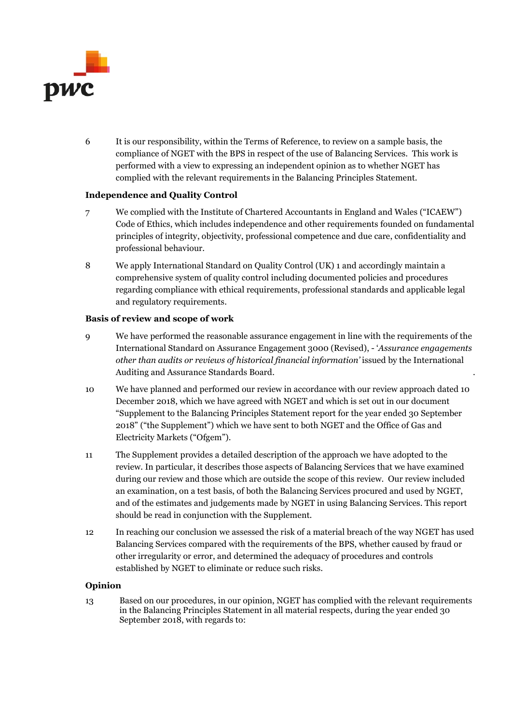

6 It is our responsibility, within the Terms of Reference, to review on a sample basis, the compliance of NGET with the BPS in respect of the use of Balancing Services. This work is performed with a view to expressing an independent opinion as to whether NGET has complied with the relevant requirements in the Balancing Principles Statement.

### Independence and Quality Control

- 7 We complied with the Institute of Chartered Accountants in England and Wales ("ICAEW") Code of Ethics, which includes independence and other requirements founded on fundamental principles of integrity, objectivity, professional competence and due care, confidentiality and professional behaviour.
- 8 We apply International Standard on Quality Control (UK) 1 and accordingly maintain a comprehensive system of quality control including documented policies and procedures regarding compliance with ethical requirements, professional standards and applicable legal and regulatory requirements.

#### Basis of review and scope of work

- 9 We have performed the reasonable assurance engagement in line with the requirements of the International Standard on Assurance Engagement 3000 (Revised), - 'Assurance engagements other than audits or reviews of historical financial information' issued by the International Auditing and Assurance Standards Board. .
- 10 We have planned and performed our review in accordance with our review approach dated 10 December 2018, which we have agreed with NGET and which is set out in our document "Supplement to the Balancing Principles Statement report for the year ended 30 September 2018" ("the Supplement") which we have sent to both NGET and the Office of Gas and Electricity Markets ("Ofgem").
- 11 The Supplement provides a detailed description of the approach we have adopted to the review. In particular, it describes those aspects of Balancing Services that we have examined during our review and those which are outside the scope of this review. Our review included an examination, on a test basis, of both the Balancing Services procured and used by NGET, and of the estimates and judgements made by NGET in using Balancing Services. This report should be read in conjunction with the Supplement.
- 12 In reaching our conclusion we assessed the risk of a material breach of the way NGET has used Balancing Services compared with the requirements of the BPS, whether caused by fraud or other irregularity or error, and determined the adequacy of procedures and controls established by NGET to eliminate or reduce such risks.

### Opinion

13 Based on our procedures, in our opinion, NGET has complied with the relevant requirements in the Balancing Principles Statement in all material respects, during the year ended 30 September 2018, with regards to: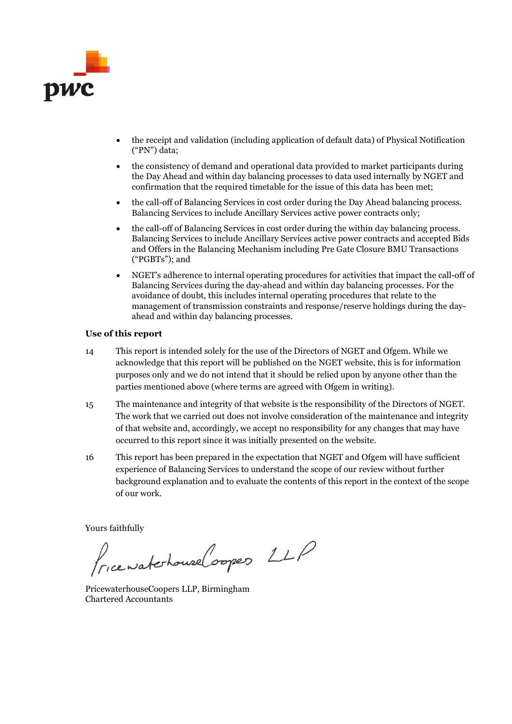

- the receipt and validation (including application of default data) of Physical Notification ("PN") data;
- the consistency of demand and operational data provided to market participants during the Day Ahead and within day balancing processes to data used internally by NGET and confirmation that the required timetable for the issue of this data has been met;
- the call-off of Balancing Services in cost order during the Day Ahead balancing process. Balancing Services to include Ancillary Services active power contracts only;
- the call-off of Balancing Services in cost order during the within day balancing process. Balancing Services to include Ancillary Services active power contracts and accepted Bids and Offers in the Balancing Mechanism including Pre Gate Closure BMU Transactions ("PGBTs"); and
- NGET's adherence to internal operating procedures for activities that impact the call-off of Balancing Services during the day-ahead and within day balancing processes. For the avoidance of doubt, this includes internal operating procedures that relate to the management of transmission constraints and response/reserve holdings during the dayahead and within day balancing processes.

#### Use of this report

- 14 This report is intended solely for the use of the Directors of NGET and Ofgem. While we acknowledge that this report will be published on the NGET website, this is for information purposes only and we do not intend that it should be relied upon by anyone other than the parties mentioned above (where terms are agreed with Ofgem in writing).
- 15 The maintenance and integrity of that website is the responsibility of the Directors of NGET. The work that we carried out does not involve consideration of the maintenance and integrity of that website and, accordingly, we accept no responsibility for any changes that may have occurred to this report since it was initially presented on the website.
- 16 This report has been prepared in the expectation that NGET and Ofgem will have sufficient experience of Balancing Services to understand the scope of our review without further background explanation and to evaluate the contents of this report in the context of the scope of our work.

Yours faithfully

Pricewatchouse Coopes LLP

PricewaterhouseCoopers LLP, Birmingham Chartered Accountants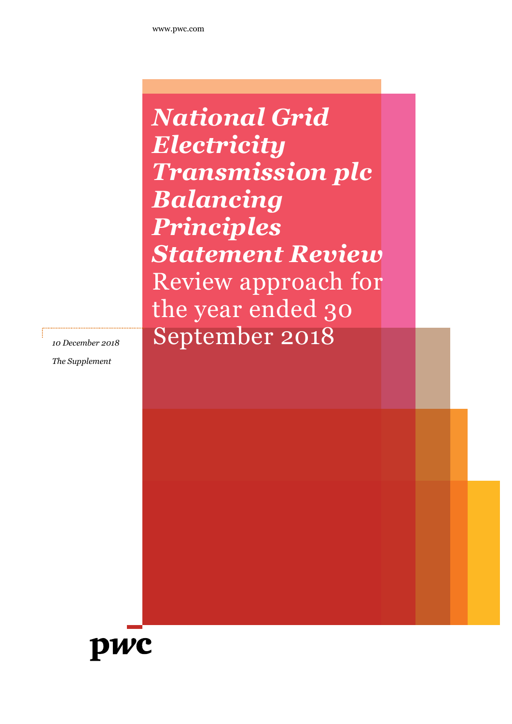National Grid **Electricity** Transmission plc Balancing Principles Statement Review Review approach for the year ended 30 10 December 2018 September 2018

The Supplement

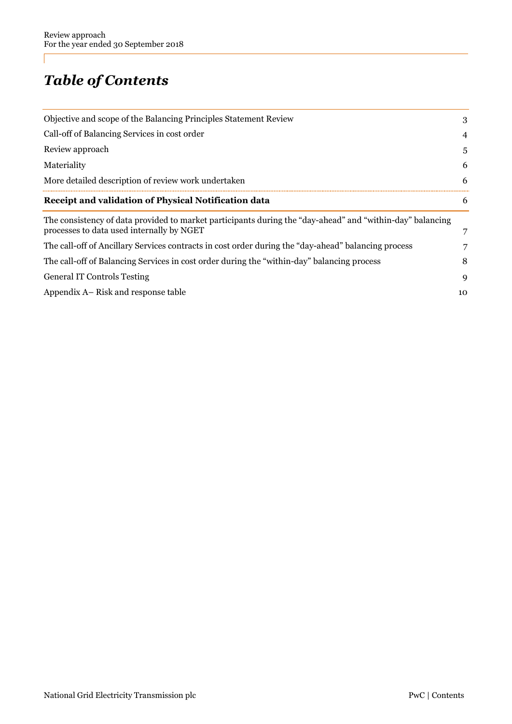# Table of Contents

| Objective and scope of the Balancing Principles Statement Review                                                                                       | 3  |
|--------------------------------------------------------------------------------------------------------------------------------------------------------|----|
| Call-off of Balancing Services in cost order                                                                                                           | 4  |
| Review approach                                                                                                                                        | 5  |
| Materiality                                                                                                                                            | 6  |
| More detailed description of review work undertaken                                                                                                    | 6  |
| Receipt and validation of Physical Notification data                                                                                                   | 6  |
| The consistency of data provided to market participants during the "day-ahead" and "within-day" balancing<br>processes to data used internally by NGET | 7  |
| The call-off of Ancillary Services contracts in cost order during the "day-ahead" balancing process                                                    | 7  |
| The call-off of Balancing Services in cost order during the "within-day" balancing process                                                             | 8  |
| <b>General IT Controls Testing</b>                                                                                                                     | 9  |
| Appendix A– Risk and response table                                                                                                                    | 10 |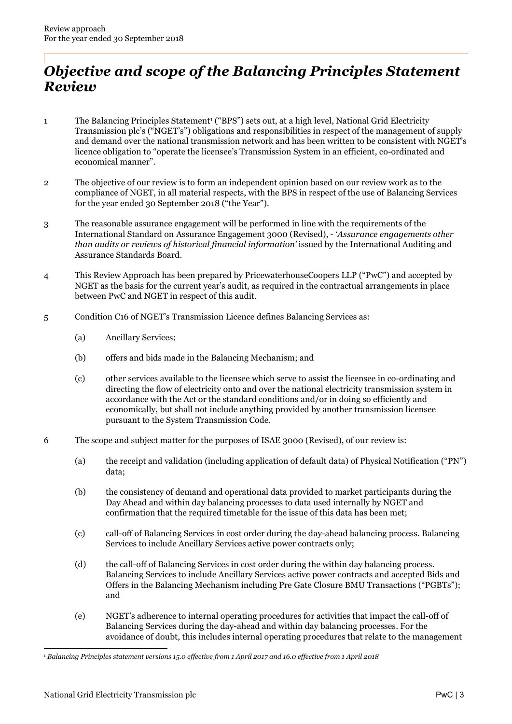## Objective and scope of the Balancing Principles Statement Review

- 1 The Balancing Principles Statement<sup>1</sup> ("BPS") sets out, at a high level, National Grid Electricity Transmission plc's ("NGET's") obligations and responsibilities in respect of the management of supply and demand over the national transmission network and has been written to be consistent with NGET's licence obligation to "operate the licensee's Transmission System in an efficient, co-ordinated and economical manner".
- 2 The objective of our review is to form an independent opinion based on our review work as to the compliance of NGET, in all material respects, with the BPS in respect of the use of Balancing Services for the year ended 30 September 2018 ("the Year").
- 3 The reasonable assurance engagement will be performed in line with the requirements of the International Standard on Assurance Engagement 3000 (Revised), - 'Assurance engagements other than audits or reviews of historical financial information' issued by the International Auditing and Assurance Standards Board.
- 4 This Review Approach has been prepared by PricewaterhouseCoopers LLP ("PwC") and accepted by NGET as the basis for the current year's audit, as required in the contractual arrangements in place between PwC and NGET in respect of this audit.
- 5 Condition C16 of NGET's Transmission Licence defines Balancing Services as:
	- (a) Ancillary Services;
	- (b) offers and bids made in the Balancing Mechanism; and
	- (c) other services available to the licensee which serve to assist the licensee in co-ordinating and directing the flow of electricity onto and over the national electricity transmission system in accordance with the Act or the standard conditions and/or in doing so efficiently and economically, but shall not include anything provided by another transmission licensee pursuant to the System Transmission Code.
- 6 The scope and subject matter for the purposes of ISAE 3000 (Revised), of our review is:
	- (a) the receipt and validation (including application of default data) of Physical Notification ("PN") data;
	- (b) the consistency of demand and operational data provided to market participants during the Day Ahead and within day balancing processes to data used internally by NGET and confirmation that the required timetable for the issue of this data has been met;
	- (c) call-off of Balancing Services in cost order during the day-ahead balancing process. Balancing Services to include Ancillary Services active power contracts only;
	- (d) the call-off of Balancing Services in cost order during the within day balancing process. Balancing Services to include Ancillary Services active power contracts and accepted Bids and Offers in the Balancing Mechanism including Pre Gate Closure BMU Transactions ("PGBTs"); and
	- (e) NGET's adherence to internal operating procedures for activities that impact the call-off of Balancing Services during the day-ahead and within day balancing processes. For the avoidance of doubt, this includes internal operating procedures that relate to the management

<sup>-</sup><sup>1</sup> Balancing Principles statement versions 15.0 effective from 1 April 2017 and 16.0 effective from 1 April 2018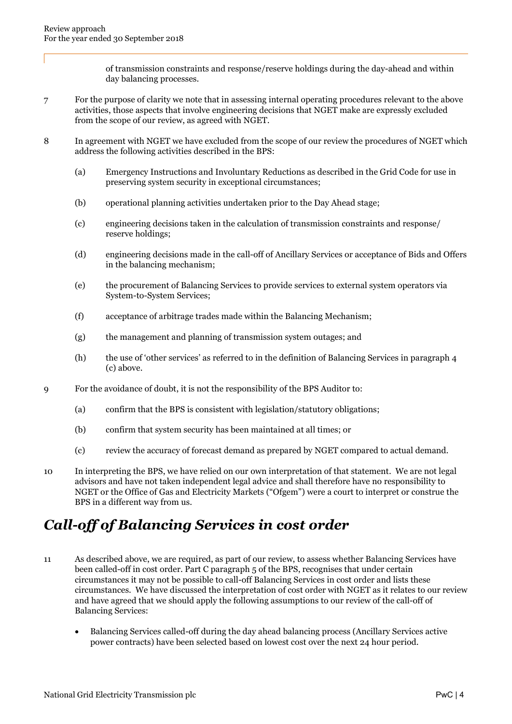of transmission constraints and response/reserve holdings during the day-ahead and within day balancing processes.

- 7 For the purpose of clarity we note that in assessing internal operating procedures relevant to the above activities, those aspects that involve engineering decisions that NGET make are expressly excluded from the scope of our review, as agreed with NGET.
- 8 In agreement with NGET we have excluded from the scope of our review the procedures of NGET which address the following activities described in the BPS:
	- (a) Emergency Instructions and Involuntary Reductions as described in the Grid Code for use in preserving system security in exceptional circumstances;
	- (b) operational planning activities undertaken prior to the Day Ahead stage;
	- (c) engineering decisions taken in the calculation of transmission constraints and response/ reserve holdings;
	- (d) engineering decisions made in the call-off of Ancillary Services or acceptance of Bids and Offers in the balancing mechanism;
	- (e) the procurement of Balancing Services to provide services to external system operators via System-to-System Services;
	- (f) acceptance of arbitrage trades made within the Balancing Mechanism;
	- (g) the management and planning of transmission system outages; and
	- (h) the use of 'other services' as referred to in the definition of Balancing Services in paragraph 4 (c) above.
- 9 For the avoidance of doubt, it is not the responsibility of the BPS Auditor to:
	- (a) confirm that the BPS is consistent with legislation/statutory obligations;
	- (b) confirm that system security has been maintained at all times; or
	- (c) review the accuracy of forecast demand as prepared by NGET compared to actual demand.
- 10 In interpreting the BPS, we have relied on our own interpretation of that statement. We are not legal advisors and have not taken independent legal advice and shall therefore have no responsibility to NGET or the Office of Gas and Electricity Markets ("Ofgem") were a court to interpret or construe the BPS in a different way from us.

## Call-off of Balancing Services in cost order

- 11 As described above, we are required, as part of our review, to assess whether Balancing Services have been called-off in cost order. Part C paragraph 5 of the BPS, recognises that under certain circumstances it may not be possible to call-off Balancing Services in cost order and lists these circumstances. We have discussed the interpretation of cost order with NGET as it relates to our review and have agreed that we should apply the following assumptions to our review of the call-off of Balancing Services:
	- Balancing Services called-off during the day ahead balancing process (Ancillary Services active power contracts) have been selected based on lowest cost over the next 24 hour period.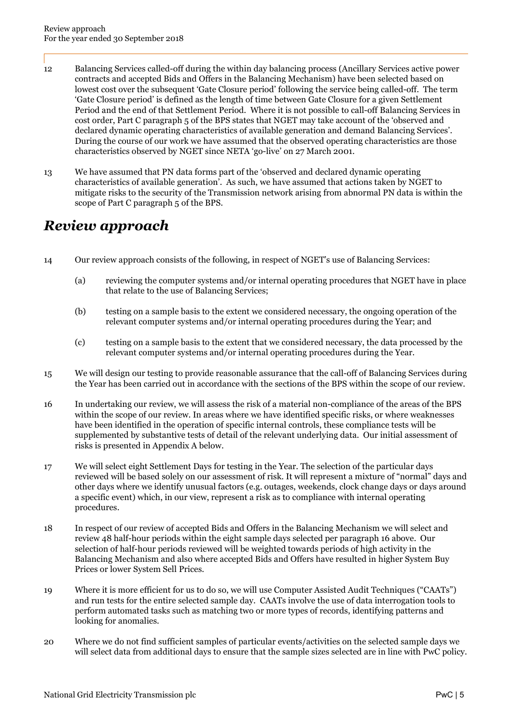- 12 Balancing Services called-off during the within day balancing process (Ancillary Services active power contracts and accepted Bids and Offers in the Balancing Mechanism) have been selected based on lowest cost over the subsequent 'Gate Closure period' following the service being called-off. The term 'Gate Closure period' is defined as the length of time between Gate Closure for a given Settlement Period and the end of that Settlement Period. Where it is not possible to call-off Balancing Services in cost order, Part C paragraph 5 of the BPS states that NGET may take account of the 'observed and declared dynamic operating characteristics of available generation and demand Balancing Services'. During the course of our work we have assumed that the observed operating characteristics are those characteristics observed by NGET since NETA 'go-live' on 27 March 2001.
- 13 We have assumed that PN data forms part of the 'observed and declared dynamic operating characteristics of available generation'. As such, we have assumed that actions taken by NGET to mitigate risks to the security of the Transmission network arising from abnormal PN data is within the scope of Part C paragraph 5 of the BPS.

## Review approach

- 14 Our review approach consists of the following, in respect of NGET's use of Balancing Services:
	- (a) reviewing the computer systems and/or internal operating procedures that NGET have in place that relate to the use of Balancing Services;
	- (b) testing on a sample basis to the extent we considered necessary, the ongoing operation of the relevant computer systems and/or internal operating procedures during the Year; and
	- (c) testing on a sample basis to the extent that we considered necessary, the data processed by the relevant computer systems and/or internal operating procedures during the Year.
- 15 We will design our testing to provide reasonable assurance that the call-off of Balancing Services during the Year has been carried out in accordance with the sections of the BPS within the scope of our review.
- 16 In undertaking our review, we will assess the risk of a material non-compliance of the areas of the BPS within the scope of our review. In areas where we have identified specific risks, or where weaknesses have been identified in the operation of specific internal controls, these compliance tests will be supplemented by substantive tests of detail of the relevant underlying data. Our initial assessment of risks is presented in Appendix A below.
- 17 We will select eight Settlement Days for testing in the Year. The selection of the particular days reviewed will be based solely on our assessment of risk. It will represent a mixture of "normal" days and other days where we identify unusual factors (e.g. outages, weekends, clock change days or days around a specific event) which, in our view, represent a risk as to compliance with internal operating procedures.
- 18 In respect of our review of accepted Bids and Offers in the Balancing Mechanism we will select and review 48 half-hour periods within the eight sample days selected per paragraph 16 above. Our selection of half-hour periods reviewed will be weighted towards periods of high activity in the Balancing Mechanism and also where accepted Bids and Offers have resulted in higher System Buy Prices or lower System Sell Prices.
- 19 Where it is more efficient for us to do so, we will use Computer Assisted Audit Techniques ("CAATs") and run tests for the entire selected sample day. CAATs involve the use of data interrogation tools to perform automated tasks such as matching two or more types of records, identifying patterns and looking for anomalies.
- 20 Where we do not find sufficient samples of particular events/activities on the selected sample days we will select data from additional days to ensure that the sample sizes selected are in line with PwC policy.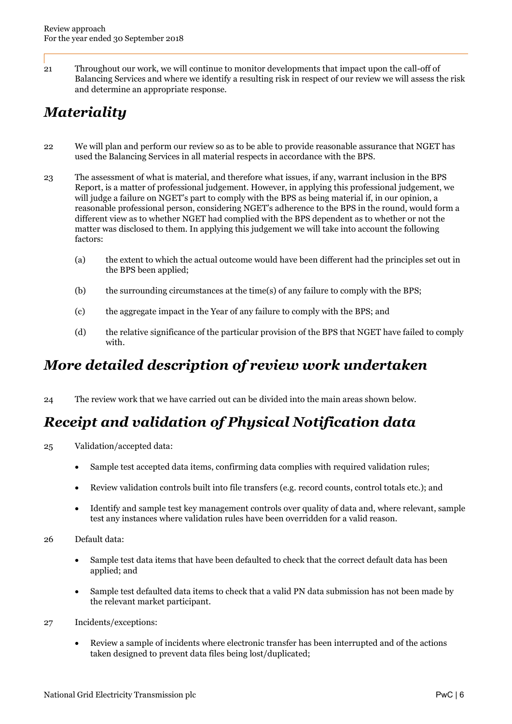21 Throughout our work, we will continue to monitor developments that impact upon the call-off of Balancing Services and where we identify a resulting risk in respect of our review we will assess the risk and determine an appropriate response.

# **Materiality**

- 22 We will plan and perform our review so as to be able to provide reasonable assurance that NGET has used the Balancing Services in all material respects in accordance with the BPS.
- 23 The assessment of what is material, and therefore what issues, if any, warrant inclusion in the BPS Report, is a matter of professional judgement. However, in applying this professional judgement, we will judge a failure on NGET's part to comply with the BPS as being material if, in our opinion, a reasonable professional person, considering NGET's adherence to the BPS in the round, would form a different view as to whether NGET had complied with the BPS dependent as to whether or not the matter was disclosed to them. In applying this judgement we will take into account the following factors:
	- (a) the extent to which the actual outcome would have been different had the principles set out in the BPS been applied;
	- (b) the surrounding circumstances at the time(s) of any failure to comply with the BPS;
	- (c) the aggregate impact in the Year of any failure to comply with the BPS; and
	- (d) the relative significance of the particular provision of the BPS that NGET have failed to comply with.

## More detailed description of review work undertaken

24 The review work that we have carried out can be divided into the main areas shown below.

# Receipt and validation of Physical Notification data

- 25 Validation/accepted data:
	- Sample test accepted data items, confirming data complies with required validation rules;
	- Review validation controls built into file transfers (e.g. record counts, control totals etc.); and
	- Identify and sample test key management controls over quality of data and, where relevant, sample test any instances where validation rules have been overridden for a valid reason.
- 26 Default data:
	- Sample test data items that have been defaulted to check that the correct default data has been applied; and
	- Sample test defaulted data items to check that a valid PN data submission has not been made by the relevant market participant.
- 27 Incidents/exceptions:
	- Review a sample of incidents where electronic transfer has been interrupted and of the actions taken designed to prevent data files being lost/duplicated;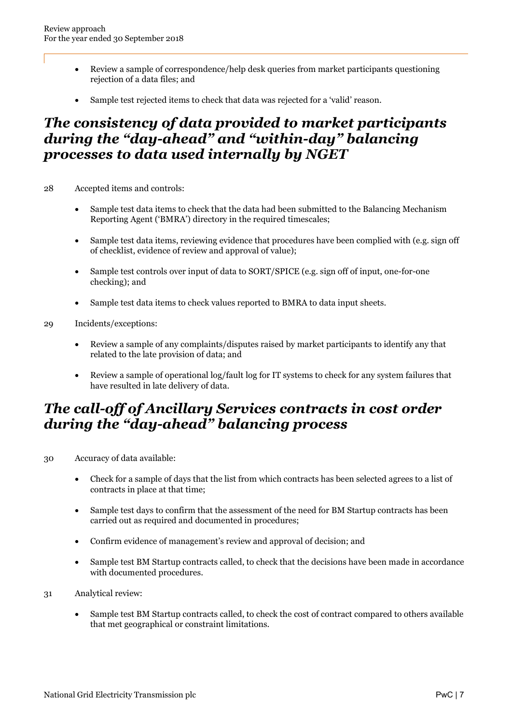- Review a sample of correspondence/help desk queries from market participants questioning rejection of a data files; and
- Sample test rejected items to check that data was rejected for a 'valid' reason.

### The consistency of data provided to market participants during the "day-ahead" and "within-day" balancing processes to data used internally by NGET

28 Accepted items and controls:

- Sample test data items to check that the data had been submitted to the Balancing Mechanism Reporting Agent ('BMRA') directory in the required timescales;
- Sample test data items, reviewing evidence that procedures have been complied with (e.g. sign off of checklist, evidence of review and approval of value);
- Sample test controls over input of data to SORT/SPICE (e.g. sign off of input, one-for-one checking); and
- Sample test data items to check values reported to BMRA to data input sheets.

### 29 Incidents/exceptions:

- Review a sample of any complaints/disputes raised by market participants to identify any that related to the late provision of data; and
- Review a sample of operational log/fault log for IT systems to check for any system failures that have resulted in late delivery of data.

### The call-off of Ancillary Services contracts in cost order during the "day-ahead" balancing process

30 Accuracy of data available:

- Check for a sample of days that the list from which contracts has been selected agrees to a list of contracts in place at that time;
- Sample test days to confirm that the assessment of the need for BM Startup contracts has been carried out as required and documented in procedures;
- Confirm evidence of management's review and approval of decision; and
- Sample test BM Startup contracts called, to check that the decisions have been made in accordance with documented procedures.
- 31 Analytical review:
	- Sample test BM Startup contracts called, to check the cost of contract compared to others available that met geographical or constraint limitations.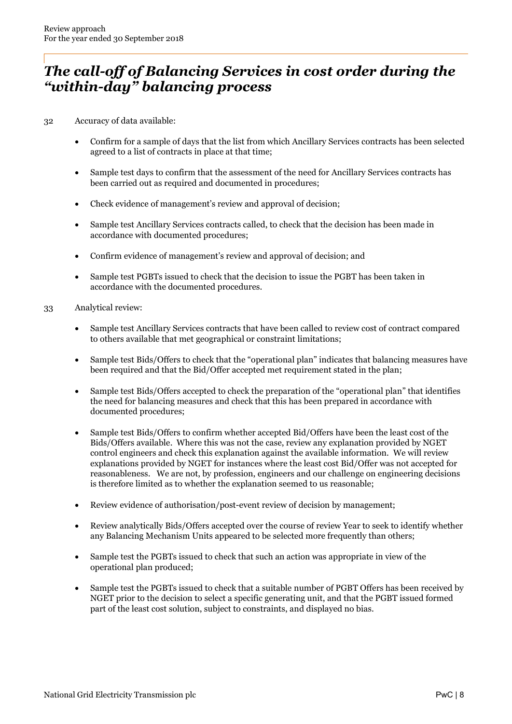### The call-off of Balancing Services in cost order during the "within-day" balancing process

32 Accuracy of data available:

- Confirm for a sample of days that the list from which Ancillary Services contracts has been selected agreed to a list of contracts in place at that time;
- Sample test days to confirm that the assessment of the need for Ancillary Services contracts has been carried out as required and documented in procedures;
- Check evidence of management's review and approval of decision;
- Sample test Ancillary Services contracts called, to check that the decision has been made in accordance with documented procedures;
- Confirm evidence of management's review and approval of decision; and
- Sample test PGBTs issued to check that the decision to issue the PGBT has been taken in accordance with the documented procedures.
- 33 Analytical review:
	- Sample test Ancillary Services contracts that have been called to review cost of contract compared to others available that met geographical or constraint limitations;
	- Sample test Bids/Offers to check that the "operational plan" indicates that balancing measures have been required and that the Bid/Offer accepted met requirement stated in the plan;
	- Sample test Bids/Offers accepted to check the preparation of the "operational plan" that identifies the need for balancing measures and check that this has been prepared in accordance with documented procedures;
	- Sample test Bids/Offers to confirm whether accepted Bid/Offers have been the least cost of the Bids/Offers available. Where this was not the case, review any explanation provided by NGET control engineers and check this explanation against the available information. We will review explanations provided by NGET for instances where the least cost Bid/Offer was not accepted for reasonableness. We are not, by profession, engineers and our challenge on engineering decisions is therefore limited as to whether the explanation seemed to us reasonable;
	- Review evidence of authorisation/post-event review of decision by management;
	- Review analytically Bids/Offers accepted over the course of review Year to seek to identify whether any Balancing Mechanism Units appeared to be selected more frequently than others;
	- Sample test the PGBTs issued to check that such an action was appropriate in view of the operational plan produced;
	- Sample test the PGBTs issued to check that a suitable number of PGBT Offers has been received by NGET prior to the decision to select a specific generating unit, and that the PGBT issued formed part of the least cost solution, subject to constraints, and displayed no bias.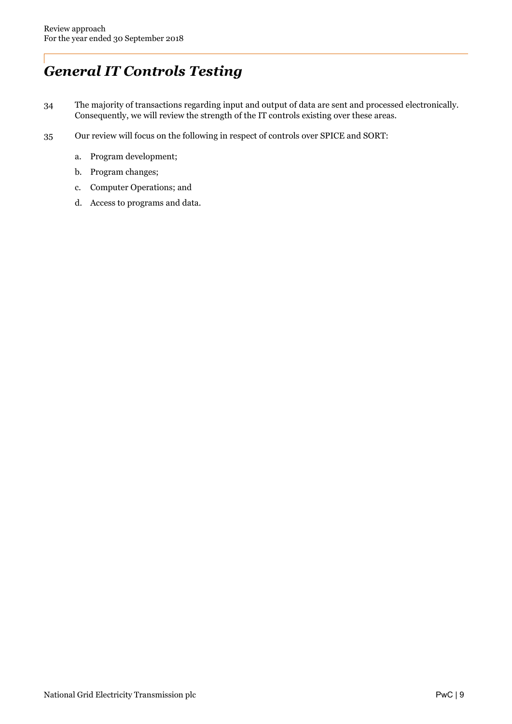# General IT Controls Testing

- 34 The majority of transactions regarding input and output of data are sent and processed electronically. Consequently, we will review the strength of the IT controls existing over these areas.
- 35 Our review will focus on the following in respect of controls over SPICE and SORT:
	- a. Program development;
	- b. Program changes;
	- c. Computer Operations; and
	- d. Access to programs and data.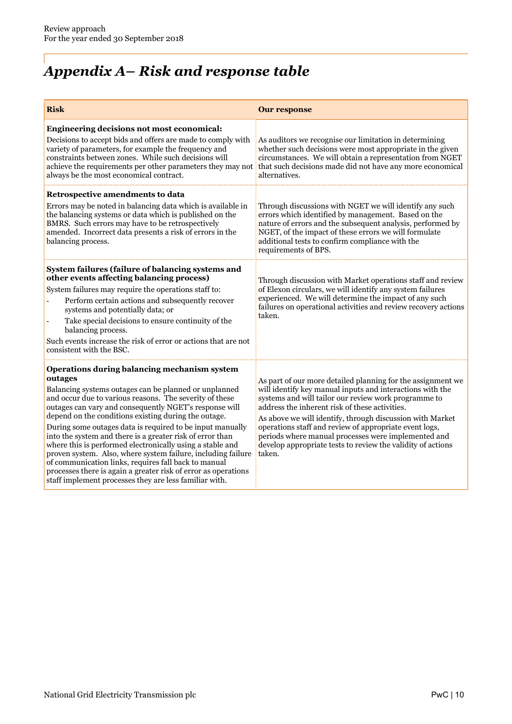# Appendix A– Risk and response table

| <b>Risk</b>                                                                                                                                                                                                                                                                                                                                                                                                                                                                                                                                                                                                                                                                                                                              | <b>Our response</b>                                                                                                                                                                                                                                                                                                                                                                                                                                                                       |
|------------------------------------------------------------------------------------------------------------------------------------------------------------------------------------------------------------------------------------------------------------------------------------------------------------------------------------------------------------------------------------------------------------------------------------------------------------------------------------------------------------------------------------------------------------------------------------------------------------------------------------------------------------------------------------------------------------------------------------------|-------------------------------------------------------------------------------------------------------------------------------------------------------------------------------------------------------------------------------------------------------------------------------------------------------------------------------------------------------------------------------------------------------------------------------------------------------------------------------------------|
| <b>Engineering decisions not most economical:</b><br>Decisions to accept bids and offers are made to comply with<br>variety of parameters, for example the frequency and<br>constraints between zones. While such decisions will<br>achieve the requirements per other parameters they may not<br>always be the most economical contract.                                                                                                                                                                                                                                                                                                                                                                                                | As auditors we recognise our limitation in determining<br>whether such decisions were most appropriate in the given<br>circumstances. We will obtain a representation from NGET<br>that such decisions made did not have any more economical<br>alternatives.                                                                                                                                                                                                                             |
| Retrospective amendments to data<br>Errors may be noted in balancing data which is available in<br>the balancing systems or data which is published on the<br>BMRS. Such errors may have to be retrospectively<br>amended. Incorrect data presents a risk of errors in the<br>balancing process.                                                                                                                                                                                                                                                                                                                                                                                                                                         | Through discussions with NGET we will identify any such<br>errors which identified by management. Based on the<br>nature of errors and the subsequent analysis, performed by<br>NGET, of the impact of these errors we will formulate<br>additional tests to confirm compliance with the<br>requirements of BPS.                                                                                                                                                                          |
| System failures (failure of balancing systems and<br>other events affecting balancing process)<br>System failures may require the operations staff to:<br>Perform certain actions and subsequently recover<br>systems and potentially data; or<br>Take special decisions to ensure continuity of the<br>L,<br>balancing process.<br>Such events increase the risk of error or actions that are not<br>consistent with the BSC.                                                                                                                                                                                                                                                                                                           | Through discussion with Market operations staff and review<br>of Elexon circulars, we will identify any system failures<br>experienced. We will determine the impact of any such<br>failures on operational activities and review recovery actions<br>taken.                                                                                                                                                                                                                              |
| Operations during balancing mechanism system<br>outages<br>Balancing systems outages can be planned or unplanned<br>and occur due to various reasons. The severity of these<br>outages can vary and consequently NGET's response will<br>depend on the conditions existing during the outage.<br>During some outages data is required to be input manually<br>into the system and there is a greater risk of error than<br>where this is performed electronically using a stable and<br>proven system. Also, where system failure, including failure<br>of communication links, requires fall back to manual<br>processes there is again a greater risk of error as operations<br>staff implement processes they are less familiar with. | As part of our more detailed planning for the assignment we<br>will identify key manual inputs and interactions with the<br>systems and will tailor our review work programme to<br>address the inherent risk of these activities.<br>As above we will identify, through discussion with Market<br>operations staff and review of appropriate event logs,<br>periods where manual processes were implemented and<br>develop appropriate tests to review the validity of actions<br>taken. |